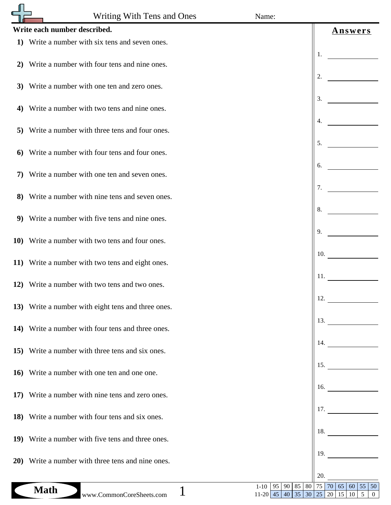|           | Writing With Tens and Ones<br>Name:                                                                                       |                                                                                               |
|-----------|---------------------------------------------------------------------------------------------------------------------------|-----------------------------------------------------------------------------------------------|
|           | Write each number described.                                                                                              | <u>Answers</u>                                                                                |
|           | 1) Write a number with six tens and seven ones.                                                                           |                                                                                               |
| 2)        | Write a number with four tens and nine ones.                                                                              | 1.                                                                                            |
| 3)        | Write a number with one ten and zero ones.                                                                                | 2.<br>3.                                                                                      |
| 4)        | Write a number with two tens and nine ones.                                                                               | 4.                                                                                            |
| 5)        | Write a number with three tens and four ones.                                                                             | 5.                                                                                            |
| 6         | Write a number with four tens and four ones.                                                                              | 6.                                                                                            |
| 7)        | Write a number with one ten and seven ones.                                                                               | 7.                                                                                            |
| 8)        | Write a number with nine tens and seven ones.                                                                             | 8.                                                                                            |
| 9         | Write a number with five tens and nine ones.                                                                              | 9.                                                                                            |
|           | 10) Write a number with two tens and four ones.                                                                           | 10.                                                                                           |
|           | 11) Write a number with two tens and eight ones.                                                                          | 11.                                                                                           |
|           | 12) Write a number with two tens and two ones.<br>13) Write a number with eight tens and three ones.                      | 12.                                                                                           |
|           | 14) Write a number with four tens and three ones.                                                                         | 13.                                                                                           |
|           | 15) Write a number with three tens and six ones.                                                                          | 14.                                                                                           |
|           | 16) Write a number with one ten and one one.                                                                              | 15.                                                                                           |
|           | 17) Write a number with nine tens and zero ones.                                                                          | 16.                                                                                           |
|           | 18) Write a number with four tens and six ones.                                                                           | 17.                                                                                           |
|           | 19) Write a number with five tens and three ones.                                                                         | 18.                                                                                           |
| <b>20</b> | Write a number with three tens and nine ones.                                                                             | 19.                                                                                           |
|           |                                                                                                                           | 20.                                                                                           |
|           | $1 - 10$<br>95<br>85<br>$80\,$<br>90 <sub>1</sub><br><b>Math</b><br>35<br>www.CommonCoreSheets.com<br>$11-20$ 45 40<br>30 | 65<br>60<br>$55 \,   \, 50$<br>75<br>70<br>5<br>$25 \mid$<br>20<br>15<br>10<br>$\overline{0}$ |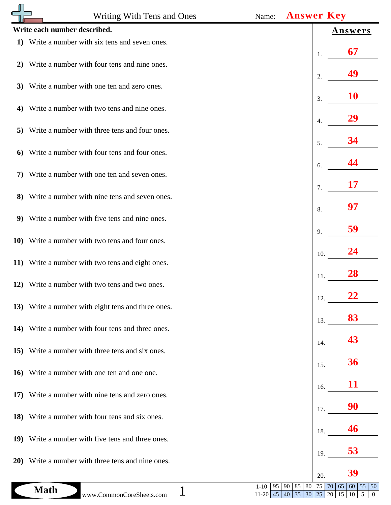|                                                | <b>Answer Key</b><br>Writing With Tens and Ones<br>Name: |                        |          |                                          |  |  |  |  |
|------------------------------------------------|----------------------------------------------------------|------------------------|----------|------------------------------------------|--|--|--|--|
| Write each number described.<br><b>Answers</b> |                                                          |                        |          |                                          |  |  |  |  |
| 1)                                             | Write a number with six tens and seven ones.             |                        |          |                                          |  |  |  |  |
| 2)                                             | Write a number with four tens and nine ones.             | 1.<br>$\overline{2}$ . |          | 67<br>49                                 |  |  |  |  |
| 3)                                             | Write a number with one ten and zero ones.               |                        |          | <b>10</b>                                |  |  |  |  |
| 4)                                             | Write a number with two tens and nine ones.              | 3.                     |          |                                          |  |  |  |  |
| 5)                                             | Write a number with three tens and four ones.            | 4.                     |          | 29                                       |  |  |  |  |
| 6                                              | Write a number with four tens and four ones.             | 5.                     |          | 34                                       |  |  |  |  |
| 7)                                             | Write a number with one ten and seven ones.              | 6.                     |          | 44                                       |  |  |  |  |
| 8)                                             | Write a number with nine tens and seven ones.            | 7.                     |          | 17                                       |  |  |  |  |
| 9)                                             | Write a number with five tens and nine ones.             | 8.                     |          | 97                                       |  |  |  |  |
| <b>10</b> )                                    | Write a number with two tens and four ones.              | 9.                     |          | 59                                       |  |  |  |  |
|                                                | 11) Write a number with two tens and eight ones.         | 10.                    |          | 24                                       |  |  |  |  |
|                                                | 12) Write a number with two tens and two ones.           | 11.                    |          | 28                                       |  |  |  |  |
|                                                | 13) Write a number with eight tens and three ones.       | 12.                    |          | 83                                       |  |  |  |  |
| <b>14</b> )                                    | Write a number with four tens and three ones.            | 13.                    |          | 43                                       |  |  |  |  |
| <b>15</b> )                                    | Write a number with three tens and six ones.             | 14.                    |          | 36                                       |  |  |  |  |
| <b>16</b>                                      | Write a number with one ten and one one.                 | 15.                    |          |                                          |  |  |  |  |
| <b>17</b> )                                    | Write a number with nine tens and zero ones.             | 16.                    |          | 11                                       |  |  |  |  |
|                                                | 18) Write a number with four tens and six ones.          | 17.                    |          | 90                                       |  |  |  |  |
| <b>19</b> )                                    | Write a number with five tens and three ones.            | 18.                    |          | 46                                       |  |  |  |  |
| <b>20</b>                                      | Write a number with three tens and nine ones.            | 19.                    |          | 53                                       |  |  |  |  |
|                                                | $1 - 10$<br>95<br>90<br>85<br><b>Math</b>                | 20.<br>75<br>80        | 65<br>70 | 39<br>60<br>$55 \mid 50$                 |  |  |  |  |
|                                                | $11-20$ 45 40<br>35<br>www.CommonCoreSheets.com          | 30 <br>$25\,$          | 15<br>20 | $\mathfrak{S}$<br>$\boldsymbol{0}$<br>10 |  |  |  |  |